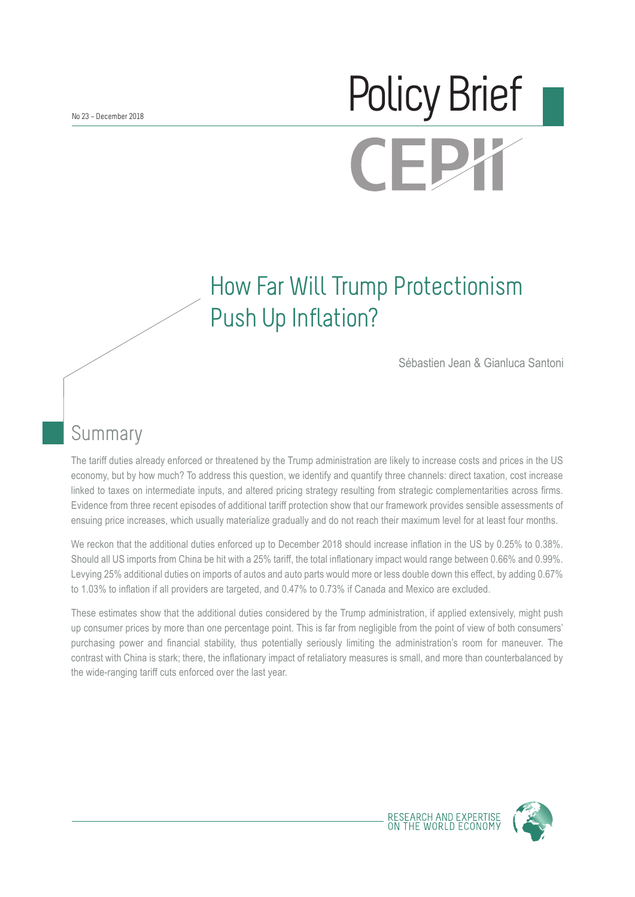# No 23 – December 2018 **CEPY**

## How Far Will Trump Protectionism Push Up Inflation?

Sébastien Jean & Gianluca Santoni

## Summary

The tariff duties already enforced or threatened by the Trump administration are likely to increase costs and prices in the US economy, but by how much? To address this question, we identify and quantify three channels: direct taxation, cost increase linked to taxes on intermediate inputs, and altered pricing strategy resulting from strategic complementarities across firms. Evidence from three recent episodes of additional tariff protection show that our framework provides sensible assessments of ensuing price increases, which usually materialize gradually and do not reach their maximum level for at least four months.

We reckon that the additional duties enforced up to December 2018 should increase inflation in the US by 0.25% to 0.38%. Should all US imports from China be hit with a 25% tariff, the total inflationary impact would range between 0.66% and 0.99%. Levying 25% additional duties on imports of autos and auto parts would more or less double down this effect, by adding 0.67% to 1.03% to inflation if all providers are targeted, and 0.47% to 0.73% if Canada and Mexico are excluded.

These estimates show that the additional duties considered by the Trump administration, if applied extensively, might push up consumer prices by more than one percentage point. This is far from negligible from the point of view of both consumers' purchasing power and financial stability, thus potentially seriously limiting the administration's room for maneuver. The contrast with China is stark; there, the inflationary impact of retaliatory measures is small, and more than counterbalanced by the wide-ranging tariff cuts enforced over the last year.



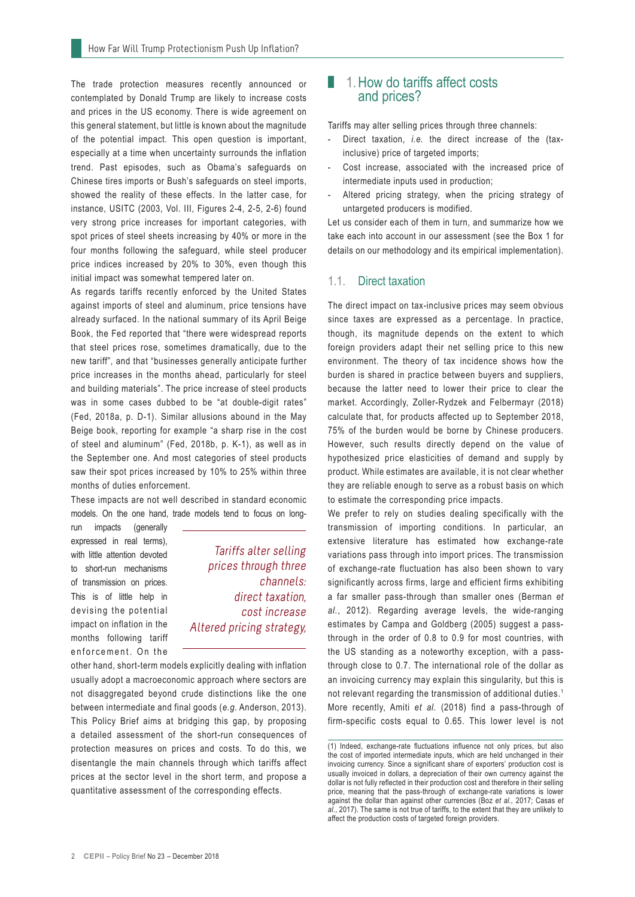The trade protection measures recently announced or contemplated by Donald Trump are likely to increase costs and prices in the US economy. There is wide agreement on this general statement, but little is known about the magnitude of the potential impact. This open question is important, especially at a time when uncertainty surrounds the inflation trend. Past episodes, such as Obama's safeguards on Chinese tires imports or Bush's safeguards on steel imports, showed the reality of these effects. In the latter case, for instance, USITC (2003, Vol. III, Figures 2-4, 2-5, 2-6) found very strong price increases for important categories, with spot prices of steel sheets increasing by 40% or more in the four months following the safeguard, while steel producer price indices increased by 20% to 30%, even though this initial impact was somewhat tempered later on.

As regards tariffs recently enforced by the United States against imports of steel and aluminum, price tensions have already surfaced. In the national summary of its April Beige Book, the Fed reported that "there were widespread reports that steel prices rose, sometimes dramatically, due to the new tariff", and that "businesses generally anticipate further price increases in the months ahead, particularly for steel and building materials". The price increase of steel products was in some cases dubbed to be "at double-digit rates" (Fed, 2018a, p. D-1). Similar allusions abound in the May Beige book, reporting for example "a sharp rise in the cost of steel and aluminum" (Fed, 2018b, p. K-1), as well as in the September one. And most categories of steel products saw their spot prices increased by 10% to 25% within three months of duties enforcement.

These impacts are not well described in standard economic models. On the one hand, trade models tend to focus on long-

run impacts (generally expressed in real terms), with little attention devoted to short-run mechanisms of transmission on prices. This is of little help in devising the potential impact on inflation in the months following tariff enforcement. On the

Tariffs alter selling prices through three channels: direct taxation, cost increase Altered pricing strategy,

other hand, short-term models explicitly dealing with inflation usually adopt a macroeconomic approach where sectors are not disaggregated beyond crude distinctions like the one between intermediate and final goods (*e.g.* Anderson, 2013). This Policy Brief aims at bridging this gap, by proposing a detailed assessment of the short-run consequences of protection measures on prices and costs. To do this, we disentangle the main channels through which tariffs affect prices at the sector level in the short term, and propose a quantitative assessment of the corresponding effects.

#### 1. 1.How do tariffs affect costs and prices?

Tariffs may alter selling prices through three channels:

- Direct taxation, *i.e.* the direct increase of the (taxinclusive) price of targeted imports;
- Cost increase, associated with the increased price of intermediate inputs used in production;
- Altered pricing strategy, when the pricing strategy of untargeted producers is modified.

Let us consider each of them in turn, and summarize how we take each into account in our assessment (see the Box 1 for details on our methodology and its empirical implementation).

#### 1.1. Direct taxation

The direct impact on tax-inclusive prices may seem obvious since taxes are expressed as a percentage. In practice, though, its magnitude depends on the extent to which foreign providers adapt their net selling price to this new environment. The theory of tax incidence shows how the burden is shared in practice between buyers and suppliers, because the latter need to lower their price to clear the market. Accordingly, Zoller-Rydzek and Felbermayr (2018) calculate that, for products affected up to September 2018, 75% of the burden would be borne by Chinese producers. However, such results directly depend on the value of hypothesized price elasticities of demand and supply by product. While estimates are available, it is not clear whether they are reliable enough to serve as a robust basis on which to estimate the corresponding price impacts.

We prefer to rely on studies dealing specifically with the transmission of importing conditions. In particular, an extensive literature has estimated how exchange-rate variations pass through into import prices. The transmission of exchange-rate fluctuation has also been shown to vary significantly across firms, large and efficient firms exhibiting a far smaller pass-through than smaller ones (Berman *et al.*, 2012). Regarding average levels, the wide-ranging estimates by Campa and Goldberg (2005) suggest a passthrough in the order of 0.8 to 0.9 for most countries, with the US standing as a noteworthy exception, with a passthrough close to 0.7. The international role of the dollar as an invoicing currency may explain this singularity, but this is not relevant regarding the transmission of additional duties.<sup>1</sup> More recently, Amiti *et al.* (2018) find a pass-through of firm-specific costs equal to 0.65. This lower level is not

<sup>(1)</sup> Indeed, exchange-rate fluctuations influence not only prices, but also the cost of imported intermediate inputs, which are held unchanged in their invoicing currency. Since a significant share of exporters' production cost is usually invoiced in dollars, a depreciation of their own currency against the dollar is not fully reflected in their production cost and therefore in their selling price, meaning that the pass-through of exchange-rate variations is lower against the dollar than against other currencies (Boz *et al.,* 2017; Casas *et al.*, 2017). The same is not true of tariffs, to the extent that they are unlikely to affect the production costs of targeted foreign providers.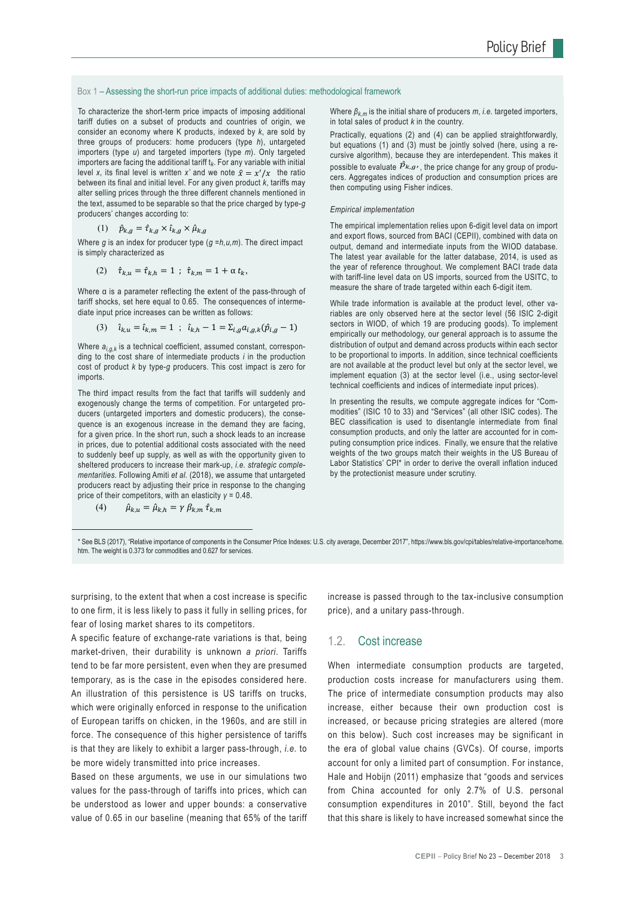Box 1 – Assessing the short-run price impacts of additional duties: methodological framework

To characterize the short-term price impacts of imposing additional tariff duties on a subset of products and countries of origin, we consider an economy where K products, indexed by *k*, are sold by three groups of producers: home producers (type *h*), untargeted importers (type *u*) and targeted importers (type *m*). Only targeted importers are facing the additional tariff t*k*. For any variable with initial level *x*, its final level is written *x'* and we note  $\hat{x} = x'/x$  the ratio between its final and initial level. For any given product *k*, tariffs may alter selling prices through the three different channels mentioned in the text, assumed to be separable so that the price charged by type-*g* producers' changes according to:

$$
(1) \quad \hat{p}_{k,g} = \hat{\tau}_{k,g} \times \hat{\iota}_{k,g} \times \hat{\mu}_{k,g}
$$

Where *g* is an index for producer type (*g =h,u,m*). The direct impact is simply characterized as

(2) 
$$
\hat{\tau}_{k,u} = \hat{\tau}_{k,h} = 1
$$
;  $\hat{\tau}_{k,m} = 1 + \alpha t_k$ ,

Where α is a parameter reflecting the extent of the pass-through of tariff shocks, set here equal to 0.65. The consequences of intermediate input price increases can be written as follows:

(3) 
$$
\hat{\iota}_{k,u} = \hat{\iota}_{k,m} = 1
$$
;  $\hat{\iota}_{k,h} - 1 = \sum_{i,g} a_{i,g,k} (\hat{p}_{i,g} - 1)$ 

Where  $a_{i,q,k}$  is a technical coefficient, assumed constant, corresponding to the cost share of intermediate products *i* in the production cost of product *k* by type-*g* producers. This cost impact is zero for imports.

The third impact results from the fact that tariffs will suddenly and exogenously change the terms of competition. For untargeted producers (untargeted importers and domestic producers), the consequence is an exogenous increase in the demand they are facing, for a given price. In the short run, such a shock leads to an increase in prices, due to potential additional costs associated with the need to suddenly beef up supply, as well as with the opportunity given to sheltered producers to increase their mark-up, *i.e. strategic complementarities*. Following Amiti *et al.* (2018), we assume that untargeted producers react by adjusting their price in response to the changing price of their competitors, with an elasticity *γ* = 0.48.

$$
(4) \qquad \hat{\mu}_{k.u} = \hat{\mu}_{k.h} = \gamma \beta_{k.m} \hat{\tau}_{k.m}
$$

Where *βk,m* is the initial share of producers *m*, *i.e.* targeted importers, in total sales of product *k* in the country.

Practically, equations (2) and (4) can be applied straightforwardly, but equations (1) and (3) must be jointly solved (here, using a recursive algorithm), because they are interdependent. This makes it possible to evaluate  $\hat{p}_{k,g}$ , the price change for any group of producers. Aggregates indices of production and consumption prices are then computing using Fisher indices.

#### *Empirical implementation*

The empirical implementation relies upon 6-digit level data on import and export flows, sourced from BACI (CEPII), combined with data on output, demand and intermediate inputs from the WIOD database. The latest year available for the latter database, 2014, is used as the year of reference throughout. We complement BACI trade data with tariff-line level data on US imports, sourced from the USITC, to measure the share of trade targeted within each 6-digit item.

While trade information is available at the product level, other variables are only observed here at the sector level (56 ISIC 2-digit sectors in WIOD, of which 19 are producing goods). To implement empirically our methodology, our general approach is to assume the distribution of output and demand across products within each sector to be proportional to imports. In addition, since technical coefficients are not available at the product level but only at the sector level, we implement equation (3) at the sector level (i.e., using sector-level technical coefficients and indices of intermediate input prices).

In presenting the results, we compute aggregate indices for "Commodities" (ISIC 10 to 33) and "Services" (all other ISIC codes). The BEC classification is used to disentangle intermediate from final consumption products, and only the latter are accounted for in computing consumption price indices. Finally, we ensure that the relative weights of the two groups match their weights in the US Bureau of Labor Statistics' CPI\* in order to derive the overall inflation induced by the protectionist measure under scrutiny.

\* See BLS (2017), "Relative importance of components in the Consumer Price Indexes: U.S. city average, December 2017", https://www.bls.gov/cpi/tables/relative-importance/home. htm. The weight is 0.373 for commodities and 0.627 for services.

surprising, to the extent that when a cost increase is specific to one firm, it is less likely to pass it fully in selling prices, for fear of losing market shares to its competitors.

A specific feature of exchange-rate variations is that, being market-driven, their durability is unknown *a priori*. Tariffs tend to be far more persistent, even when they are presumed temporary, as is the case in the episodes considered here. An illustration of this persistence is US tariffs on trucks, which were originally enforced in response to the unification of European tariffs on chicken, in the 1960s, and are still in force. The consequence of this higher persistence of tariffs is that they are likely to exhibit a larger pass-through, *i.e.* to be more widely transmitted into price increases.

Based on these arguments, we use in our simulations two values for the pass-through of tariffs into prices, which can be understood as lower and upper bounds: a conservative value of 0.65 in our baseline (meaning that 65% of the tariff increase is passed through to the tax-inclusive consumption price), and a unitary pass-through.

#### 1.2. Cost increase

When intermediate consumption products are targeted, production costs increase for manufacturers using them. The price of intermediate consumption products may also increase, either because their own production cost is increased, or because pricing strategies are altered (more on this below). Such cost increases may be significant in the era of global value chains (GVCs). Of course, imports account for only a limited part of consumption. For instance, Hale and Hobijn (2011) emphasize that "goods and services from China accounted for only 2.7% of U.S. personal consumption expenditures in 2010". Still, beyond the fact that this share is likely to have increased somewhat since the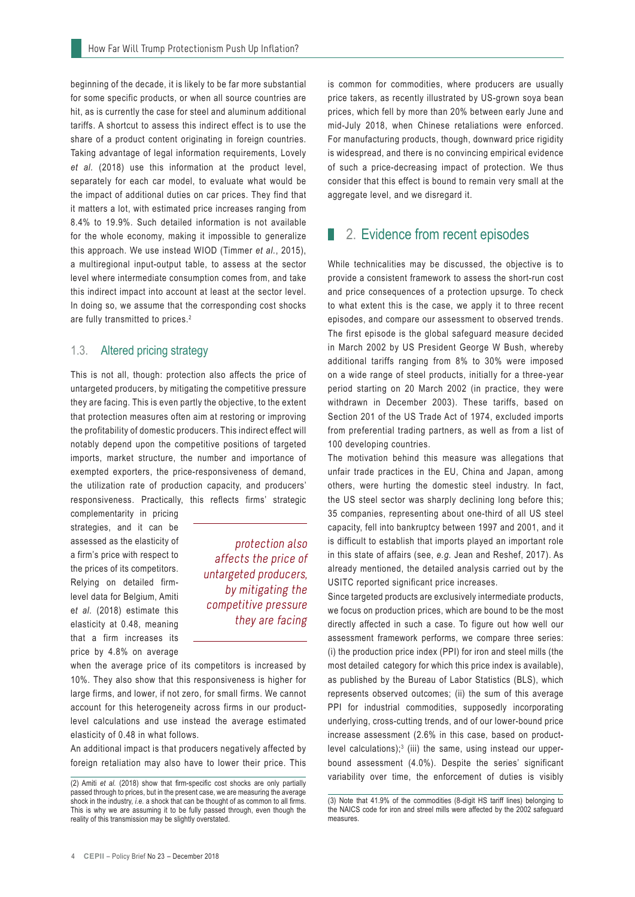beginning of the decade, it is likely to be far more substantial for some specific products, or when all source countries are hit, as is currently the case for steel and aluminum additional tariffs. A shortcut to assess this indirect effect is to use the share of a product content originating in foreign countries. Taking advantage of legal information requirements, Lovely *et al.* (2018) use this information at the product level, separately for each car model, to evaluate what would be the impact of additional duties on car prices. They find that it matters a lot, with estimated price increases ranging from 8.4% to 19.9%. Such detailed information is not available for the whole economy, making it impossible to generalize this approach. We use instead WIOD (Timmer *et al.*, 2015), a multiregional input-output table, to assess at the sector level where intermediate consumption comes from, and take this indirect impact into account at least at the sector level. In doing so, we assume that the corresponding cost shocks are fully transmitted to prices.<sup>2</sup>

#### 1.3. Altered pricing strategy

This is not all, though: protection also affects the price of untargeted producers, by mitigating the competitive pressure they are facing. This is even partly the objective, to the extent that protection measures often aim at restoring or improving the profitability of domestic producers. This indirect effect will notably depend upon the competitive positions of targeted imports, market structure, the number and importance of exempted exporters, the price-responsiveness of demand, the utilization rate of production capacity, and producers' responsiveness. Practically, this reflects firms' strategic

complementarity in pricing strategies, and it can be assessed as the elasticity of a firm's price with respect to the prices of its competitors. Relying on detailed firmlevel data for Belgium, Amiti e*t al.* (2018) estimate this elasticity at 0.48, meaning that a firm increases its price by 4.8% on average

protection also affects the price of untargeted producers, by mitigating the competitive pressure they are facing

when the average price of its competitors is increased by 10%. They also show that this responsiveness is higher for large firms, and lower, if not zero, for small firms. We cannot account for this heterogeneity across firms in our productlevel calculations and use instead the average estimated elasticity of 0.48 in what follows.

An additional impact is that producers negatively affected by foreign retaliation may also have to lower their price. This is common for commodities, where producers are usually price takers, as recently illustrated by US-grown soya bean prices, which fell by more than 20% between early June and mid-July 2018, when Chinese retaliations were enforced. For manufacturing products, though, downward price rigidity is widespread, and there is no convincing empirical evidence of such a price-decreasing impact of protection. We thus consider that this effect is bound to remain very small at the aggregate level, and we disregard it.

#### ■ 2. Evidence from recent episodes

While technicalities may be discussed, the objective is to provide a consistent framework to assess the short-run cost and price consequences of a protection upsurge. To check to what extent this is the case, we apply it to three recent episodes, and compare our assessment to observed trends. The first episode is the global safeguard measure decided in March 2002 by US President George W Bush, whereby additional tariffs ranging from 8% to 30% were imposed on a wide range of steel products, initially for a three-year period starting on 20 March 2002 (in practice, they were withdrawn in December 2003). These tariffs, based on Section 201 of the US Trade Act of 1974, excluded imports from preferential trading partners, as well as from a list of 100 developing countries.

The motivation behind this measure was allegations that unfair trade practices in the EU, China and Japan, among others, were hurting the domestic steel industry. In fact, the US steel sector was sharply declining long before this; 35 companies, representing about one-third of all US steel capacity, fell into bankruptcy between 1997 and 2001, and it is difficult to establish that imports played an important role in this state of affairs (see, *e.g.* Jean and Reshef, 2017). As already mentioned, the detailed analysis carried out by the USITC reported significant price increases.

Since targeted products are exclusively intermediate products, we focus on production prices, which are bound to be the most directly affected in such a case. To figure out how well our assessment framework performs, we compare three series: (i) the production price index (PPI) for iron and steel mills (the most detailed category for which this price index is available), as published by the Bureau of Labor Statistics (BLS), which represents observed outcomes; (ii) the sum of this average PPI for industrial commodities, supposedly incorporating underlying, cross-cutting trends, and of our lower-bound price increase assessment (2.6% in this case, based on productlevel calculations); $3$  (iii) the same, using instead our upperbound assessment (4.0%). Despite the series' significant variability over time, the enforcement of duties is visibly

<sup>(2)</sup> Amiti *et al.* (2018) show that firm-specific cost shocks are only partially passed through to prices, but in the present case, we are measuring the average shock in the industry, *i.e.* a shock that can be thought of as common to all firms. This is why we are assuming it to be fully passed through, even though the reality of this transmission may be slightly overstated.

<sup>(3)</sup> Note that 41.9% of the commodities (8-digit HS tariff lines) belonging to the NAICS code for iron and streel mills were affected by the 2002 safeguard measures.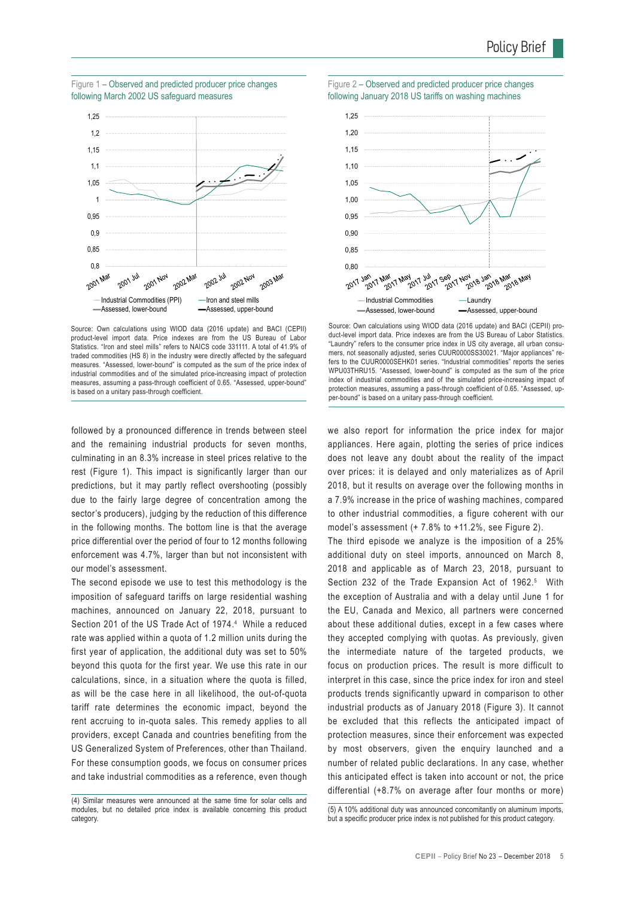

Source: Own calculations using WIOD data (2016 update) and BACI (CEPII) product-level import data. Price indexes are from the US Bureau of Labor Statistics. "Iron and steel mills" refers to NAICS code 331111. A total of 41.9% of traded commodities (HS 8) in the industry were directly affected by the safeguard measures. "Assessed, lower-bound" is computed as the sum of the price index of industrial commodities and of the simulated price-increasing impact of protection measures, assuming a pass-through coefficient of 0.65. "Assessed, upper-bound" is based on a unitary pass-through coefficient.

followed by a pronounced difference in trends between steel and the remaining industrial products for seven months, culminating in an 8.3% increase in steel prices relative to the rest (Figure 1). This impact is significantly larger than our predictions, but it may partly reflect overshooting (possibly due to the fairly large degree of concentration among the sector's producers), judging by the reduction of this difference in the following months. The bottom line is that the average price differential over the period of four to 12 months following enforcement was 4.7%, larger than but not inconsistent with our model's assessment.

The second episode we use to test this methodology is the imposition of safeguard tariffs on large residential washing machines, announced on January 22, 2018, pursuant to Section 201 of the US Trade Act of 1974.<sup>4</sup> While a reduced rate was applied within a quota of 1.2 million units during the first year of application, the additional duty was set to 50% beyond this quota for the first year. We use this rate in our calculations, since, in a situation where the quota is filled, as will be the case here in all likelihood, the out-of-quota tariff rate determines the economic impact, beyond the rent accruing to in-quota sales. This remedy applies to all providers, except Canada and countries benefiting from the US Generalized System of Preferences, other than Thailand. For these consumption goods, we focus on consumer prices and take industrial commodities as a reference, even though





Source: Own calculations using WIOD data (2016 update) and BACI (CEPII) product-level import data. Price indexes are from the US Bureau of Labor Statistics. "Laundry" refers to the consumer price index in US city average, all urban consumers, not seasonally adjusted, series CUUR0000SS30021. "Major appliances" refers to the CUUR0000SEHK01 series. "Industrial commodities" reports the series WPU03THRU15. "Assessed, lower-bound" is computed as the sum of the price index of industrial commodities and of the simulated price-increasing impact of protection measures, assuming a pass-through coefficient of 0.65. "Assessed, upper-bound" is based on a unitary pass-through coefficient.

we also report for information the price index for major appliances. Here again, plotting the series of price indices does not leave any doubt about the reality of the impact over prices: it is delayed and only materializes as of April 2018, but it results on average over the following months in a 7.9% increase in the price of washing machines, compared to other industrial commodities, a figure coherent with our model's assessment (+ 7.8% to +11.2%, see Figure 2).

The third episode we analyze is the imposition of a 25% additional duty on steel imports, announced on March 8, 2018 and applicable as of March 23, 2018, pursuant to Section 232 of the Trade Expansion Act of 1962.<sup>5</sup> With the exception of Australia and with a delay until June 1 for the EU, Canada and Mexico, all partners were concerned about these additional duties, except in a few cases where they accepted complying with quotas. As previously, given the intermediate nature of the targeted products, we focus on production prices. The result is more difficult to interpret in this case, since the price index for iron and steel products trends significantly upward in comparison to other industrial products as of January 2018 (Figure 3). It cannot be excluded that this reflects the anticipated impact of protection measures, since their enforcement was expected by most observers, given the enquiry launched and a number of related public declarations. In any case, whether this anticipated effect is taken into account or not, the price differential (+8.7% on average after four months or more)

<sup>(4)</sup> Similar measures were announced at the same time for solar cells and modules, but no detailed price index is available concerning this product category.

<sup>(5)</sup> A 10% additional duty was announced concomitantly on aluminum imports, but a specific producer price index is not published for this product category.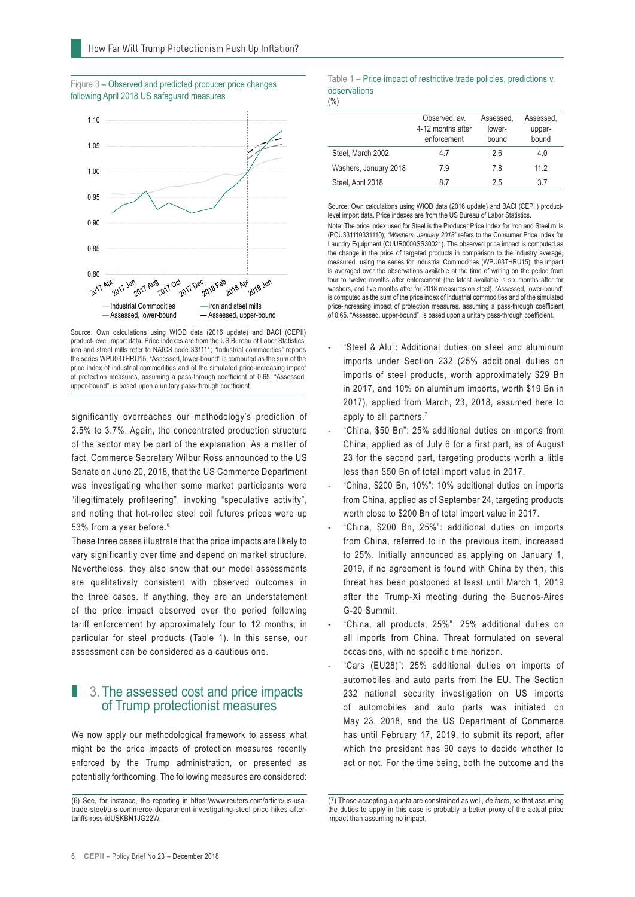



Source: Own calculations using WIOD data (2016 update) and BACI (CEPII) product-level import data. Price indexes are from the US Bureau of Labor Statistics, iron and streel mills refer to NAICS code 331111; "Industrial commodities" reports the series WPU03THRU15. "Assessed, lower-bound" is computed as the sum of the price index of industrial commodities and of the simulated price-increasing impact of protection measures, assuming a pass-through coefficient of 0.65. "Assessed, upper-bound", is based upon a unitary pass-through coefficient.

significantly overreaches our methodology's prediction of 2.5% to 3.7%. Again, the concentrated production structure of the sector may be part of the explanation. As a matter of fact, Commerce Secretary Wilbur Ross announced to the US Senate on June 20, 2018, that the US Commerce Department was investigating whether some market participants were "illegitimately profiteering", invoking "speculative activity", and noting that hot-rolled steel coil futures prices were up 53% from a year before.<sup>6</sup>

These three cases illustrate that the price impacts are likely to vary significantly over time and depend on market structure. Nevertheless, they also show that our model assessments are qualitatively consistent with observed outcomes in the three cases. If anything, they are an understatement of the price impact observed over the period following tariff enforcement by approximately four to 12 months, in particular for steel products (Table 1). In this sense, our assessment can be considered as a cautious one.

#### 1. 3. The assessed cost and price impacts of Trump protectionist measures

We now apply our methodological framework to assess what might be the price impacts of protection measures recently enforced by the Trump administration, or presented as potentially forthcoming. The following measures are considered:

#### Table 1 – Price impact of restrictive trade policies, predictions v. observations

(%)

|                       | Observed, av.<br>4-12 months after<br>enforcement | Assessed.<br>lower-<br>bound | Assessed.<br>upper-<br>bound |  |
|-----------------------|---------------------------------------------------|------------------------------|------------------------------|--|
| Steel, March 2002     | 47                                                | 26                           | 4.0                          |  |
| Washers, January 2018 | 7.9                                               | 78                           | 112                          |  |
| Steel, April 2018     | 87                                                | 25                           | 37                           |  |

Source: Own calculations using WIOD data (2016 update) and BACI (CEPII) productlevel import data. Price indexes are from the US Bureau of Labor Statistics. Note: The price index used for Steel is the Producer Price Index for Iron and Steel mills (PCU331110331110); "*Washers, January 2018*" refers to the Consumer Price Index for Laundry Equipment (CUUR0000SS30021). The observed price impact is computed as the change in the price of targeted products in comparison to the industry average, measured using the series for Industrial Commodities (WPU03THRU15); the impact is averaged over the observations available at the time of writing on the period from four to twelve months after enforcement (the latest available is six months after for washers, and five months after for 2018 measures on steel). "Assessed, lower-bound" is computed as the sum of the price index of industrial commodities and of the simulated price-increasing impact of protection measures, assuming a pass-through coefficient of 0.65. "Assessed, upper-bound", is based upon a unitary pass-through coefficient.

- "Steel & Alu": Additional duties on steel and aluminum imports under Section 232 (25% additional duties on imports of steel products, worth approximately \$29 Bn in 2017, and 10% on aluminum imports, worth \$19 Bn in 2017), applied from March, 23, 2018, assumed here to apply to all partners.<sup>7</sup>
- "China, \$50 Bn": 25% additional duties on imports from China, applied as of July 6 for a first part, as of August 23 for the second part, targeting products worth a little less than \$50 Bn of total import value in 2017.
- "China, \$200 Bn, 10%": 10% additional duties on imports from China, applied as of September 24, targeting products worth close to \$200 Bn of total import value in 2017.
- "China, \$200 Bn, 25%": additional duties on imports from China, referred to in the previous item, increased to 25%. Initially announced as applying on January 1, 2019, if no agreement is found with China by then, this threat has been postponed at least until March 1, 2019 after the Trump-Xi meeting during the Buenos-Aires G-20 Summit.
- "China, all products, 25%": 25% additional duties on all imports from China. Threat formulated on several occasions, with no specific time horizon.
- "Cars (EU28)": 25% additional duties on imports of automobiles and auto parts from the EU. The Section 232 national security investigation on US imports of automobiles and auto parts was initiated on May 23, 2018, and the US Department of Commerce has until February 17, 2019, to submit its report, after which the president has 90 days to decide whether to act or not. For the time being, both the outcome and the

<sup>(6)</sup> See, for instance, the reporting in https://www.reuters.com/article/us-usatrade-steel/u-s-commerce-department-investigating-steel-price-hikes-aftertariffs-ross-idUSKBN1JG22W.

<sup>(7)</sup> Those accepting a quota are constrained as well, *de facto*, so that assuming the duties to apply in this case is probably a better proxy of the actual price impact than assuming no impact.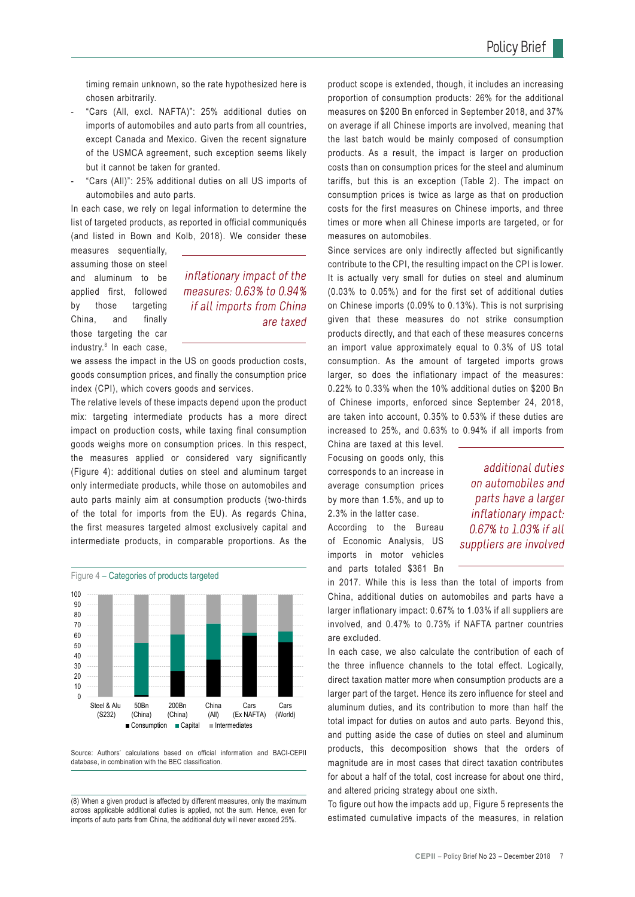timing remain unknown, so the rate hypothesized here is chosen arbitrarily.

- "Cars (All, excl. NAFTA)": 25% additional duties on imports of automobiles and auto parts from all countries, except Canada and Mexico. Given the recent signature of the USMCA agreement, such exception seems likely but it cannot be taken for granted.
- "Cars (All)": 25% additional duties on all US imports of automobiles and auto parts.

In each case, we rely on legal information to determine the list of targeted products, as reported in official communiqués (and listed in Bown and Kolb, 2018). We consider these

measures sequentially, assuming those on steel and aluminum to be applied first, followed by those targeting China, and finally those targeting the car industry.<sup>8</sup> In each case,

#### inflationary impact of the measures: 0.63% to 0.94% if all imports from China are taxed

we assess the impact in the US on goods production costs, goods consumption prices, and finally the consumption price index (CPI), which covers goods and services.

The relative levels of these impacts depend upon the product mix: targeting intermediate products has a more direct impact on production costs, while taxing final consumption goods weighs more on consumption prices. In this respect, the measures applied or considered vary significantly (Figure 4): additional duties on steel and aluminum target only intermediate products, while those on automobiles and auto parts mainly aim at consumption products (two-thirds of the total for imports from the EU). As regards China, the first measures targeted almost exclusively capital and intermediate products, in comparable proportions. As the



Source: Authors' calculations based on official information and BACI-CEPII database, in combination with the BEC classification.

(8) When a given product is affected by different measures, only the maximum across applicable additional duties is applied, not the sum. Hence, even for imports of auto parts from China, the additional duty will never exceed 25%.

product scope is extended, though, it includes an increasing proportion of consumption products: 26% for the additional measures on \$200 Bn enforced in September 2018, and 37% on average if all Chinese imports are involved, meaning that the last batch would be mainly composed of consumption products. As a result, the impact is larger on production costs than on consumption prices for the steel and aluminum tariffs, but this is an exception (Table 2). The impact on consumption prices is twice as large as that on production costs for the first measures on Chinese imports, and three times or more when all Chinese imports are targeted, or for measures on automobiles.

Since services are only indirectly affected but significantly contribute to the CPI, the resulting impact on the CPI is lower. It is actually very small for duties on steel and aluminum (0.03% to 0.05%) and for the first set of additional duties on Chinese imports (0.09% to 0.13%). This is not surprising given that these measures do not strike consumption products directly, and that each of these measures concerns an import value approximately equal to 0.3% of US total consumption. As the amount of targeted imports grows larger, so does the inflationary impact of the measures: 0.22% to 0.33% when the 10% additional duties on \$200 Bn of Chinese imports, enforced since September 24, 2018, are taken into account, 0.35% to 0.53% if these duties are increased to 25%, and 0.63% to 0.94% if all imports from

China are taxed at this level. Focusing on goods only, this corresponds to an increase in average consumption prices by more than 1.5%, and up to 2.3% in the latter case.

According to the Bureau of Economic Analysis, US imports in motor vehicles and parts totaled \$361 Bn

additional duties on automobiles and parts have a larger inflationary impact: 0.67% to 1.03% if all suppliers are involved

in 2017. While this is less than the total of imports from China, additional duties on automobiles and parts have a larger inflationary impact: 0.67% to 1.03% if all suppliers are involved, and 0.47% to 0.73% if NAFTA partner countries are excluded.

In each case, we also calculate the contribution of each of the three influence channels to the total effect. Logically, direct taxation matter more when consumption products are a larger part of the target. Hence its zero influence for steel and aluminum duties, and its contribution to more than half the total impact for duties on autos and auto parts. Beyond this, and putting aside the case of duties on steel and aluminum products, this decomposition shows that the orders of magnitude are in most cases that direct taxation contributes for about a half of the total, cost increase for about one third, and altered pricing strategy about one sixth.

To figure out how the impacts add up, Figure 5 represents the estimated cumulative impacts of the measures, in relation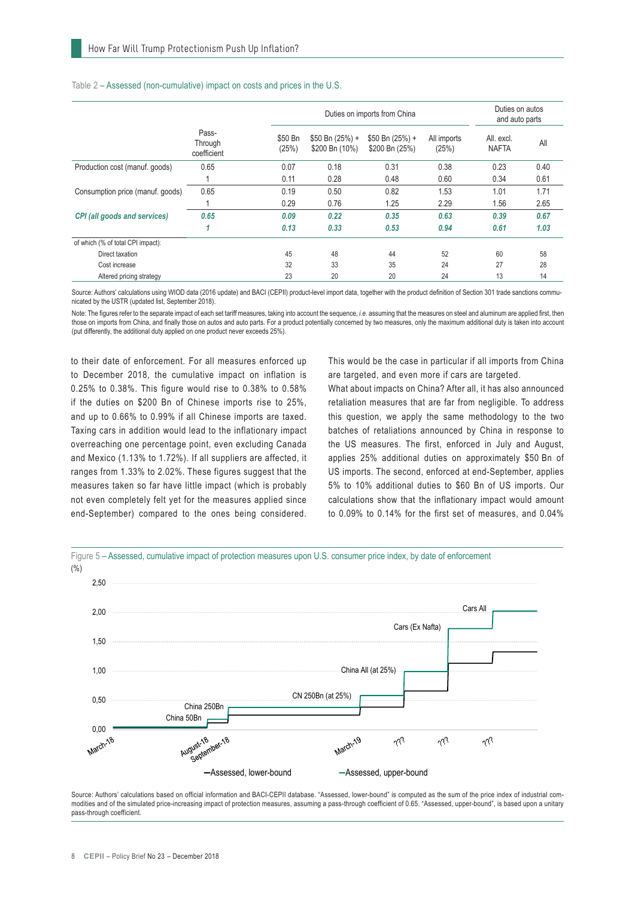|                                     |                                 |                  | Duties on imports from China       |                                    |                      | Duties on autos<br>and auto parts |      |
|-------------------------------------|---------------------------------|------------------|------------------------------------|------------------------------------|----------------------|-----------------------------------|------|
|                                     | Pass-<br>Through<br>coefficient | \$50 Bn<br>(25%) | $$50 Bn (25%) +$<br>\$200 Bn (10%) | $$50 Bn (25%) +$<br>\$200 Bn (25%) | All imports<br>(25%) | All. excl.<br><b>NAFTA</b>        | All  |
| Production cost (manuf. goods)      | 0.65                            | 0.07             | 0.18                               | 0.31                               | 0.38                 | 0.23                              | 0.40 |
|                                     |                                 | 0.11             | 0.28                               | 0.48                               | 0.60                 | 0.34                              | 0.61 |
| Consumption price (manuf. goods)    | 0.65                            | 0.19             | 0.50                               | 0.82                               | 1.53                 | 1.01                              | 1.71 |
|                                     |                                 | 0.29             | 0.76                               | 1.25                               | 2.29                 | 1.56                              | 2.65 |
| <b>CPI</b> (all goods and services) | 0.65                            | 0.09             | 0.22                               | 0.35                               | 0.63                 | 0.39                              | 0.67 |
|                                     | 1                               | 0.13             | 0.33                               | 0.53                               | 0.94                 | 0.61                              | 1.03 |
| of which (% of total CPI impact):   |                                 |                  |                                    |                                    |                      |                                   |      |
| Direct taxation                     |                                 | 45               | 48                                 | 44                                 | 52                   | 60                                | 58   |
| Cost increase                       |                                 | 32               | 33                                 | 35                                 | 24                   | 27                                | 28   |
| Altered pricing strategy            |                                 | 23               | 20                                 | 20                                 | 24                   | 13                                | 14   |

#### Table 2 – Assessed (non-cumulative) impact on costs and prices in the U.S.

Source: Authors' calculations using WIOD data (2016 update) and BACI (CEPII) product-level import data, together with the product definition of Section 301 trade sanctions communicated by the USTR (updated list, September 2018).

Note: The figures refer to the separate impact of each set tariff measures, taking into account the sequence, *i.e.* assuming that the measures on steel and aluminum are applied first, then those on imports from China, and finally those on autos and auto parts. For a product potentially concerned by two measures, only the maximum additional duty is taken into account (put differently, the additional duty applied on one product never exceeds 25%).

to their date of enforcement. For all measures enforced up to December 2018, the cumulative impact on inflation is 0.25% to 0.38%. This figure would rise to 0.38% to 0.58% if the duties on \$200 Bn of Chinese imports rise to 25%, and up to 0.66% to 0.99% if all Chinese imports are taxed. Taxing cars in addition would lead to the inflationary impact overreaching one percentage point, even excluding Canada and Mexico (1.13% to 1.72%). If all suppliers are affected, it ranges from 1.33% to 2.02%. These figures suggest that the measures taken so far have little impact (which is probably not even completely felt yet for the measures applied since end-September) compared to the ones being considered.

This would be the case in particular if all imports from China are targeted, and even more if cars are targeted.

What about impacts on China? After all, it has also announced retaliation measures that are far from negligible. To address this question, we apply the same methodology to the two batches of retaliations announced by China in response to the US measures. The first, enforced in July and August, applies 25% additional duties on approximately \$50 Bn of US imports. The second, enforced at end-September, applies 5% to 10% additional duties to \$60 Bn of US imports. Our calculations show that the inflationary impact would amount to 0.09% to 0.14% for the first set of measures, and 0.04%



Source: Authors' calculations based on official information and BACI-CEPII database. "Assessed, lower-bound" is computed as the sum of the price index of industrial commodities and of the simulated price-increasing impact of protection measures, assuming a pass-through coefficient of 0.65. "Assessed, upper-bound", is based upon a unitary pass-through coefficient.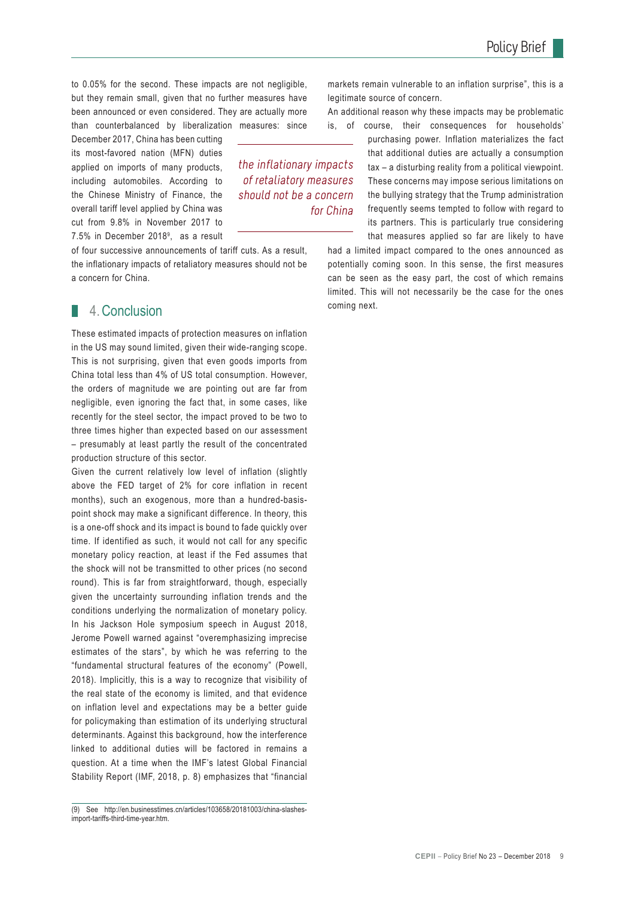to 0.05% for the second. These impacts are not negligible, but they remain small, given that no further measures have been announced or even considered. They are actually more than counterbalanced by liberalization measures: since

> the inflationary impacts of retaliatory measures should not be a concern

> > for China

December 2017, China has been cutting its most-favored nation (MFN) duties applied on imports of many products, including automobiles. According to the Chinese Ministry of Finance, the overall tariff level applied by China was cut from 9.8% in November 2017 to 7.5% in December 20189 , as a result

of four successive announcements of tariff cuts. As a result, the inflationary impacts of retaliatory measures should not be a concern for China.

#### 1. 4.Conclusion

These estimated impacts of protection measures on inflation in the US may sound limited, given their wide-ranging scope. This is not surprising, given that even goods imports from China total less than 4% of US total consumption. However, the orders of magnitude we are pointing out are far from negligible, even ignoring the fact that, in some cases, like recently for the steel sector, the impact proved to be two to three times higher than expected based on our assessment – presumably at least partly the result of the concentrated production structure of this sector.

Given the current relatively low level of inflation (slightly above the FED target of 2% for core inflation in recent months), such an exogenous, more than a hundred-basispoint shock may make a significant difference. In theory, this is a one-off shock and its impact is bound to fade quickly over time. If identified as such, it would not call for any specific monetary policy reaction, at least if the Fed assumes that the shock will not be transmitted to other prices (no second round). This is far from straightforward, though, especially given the uncertainty surrounding inflation trends and the conditions underlying the normalization of monetary policy. In his Jackson Hole symposium speech in August 2018, Jerome Powell warned against "overemphasizing imprecise estimates of the stars", by which he was referring to the "fundamental structural features of the economy" (Powell, 2018). Implicitly, this is a way to recognize that visibility of the real state of the economy is limited, and that evidence on inflation level and expectations may be a better guide for policymaking than estimation of its underlying structural determinants. Against this background, how the interference linked to additional duties will be factored in remains a question. At a time when the IMF's latest Global Financial Stability Report (IMF, 2018, p. 8) emphasizes that "financial

markets remain vulnerable to an inflation surprise", this is a legitimate source of concern. An additional reason why these impacts may be problematic

is, of course, their consequences for households'

purchasing power. Inflation materializes the fact that additional duties are actually a consumption tax – a disturbing reality from a political viewpoint. These concerns may impose serious limitations on the bullying strategy that the Trump administration frequently seems tempted to follow with regard to its partners. This is particularly true considering that measures applied so far are likely to have

had a limited impact compared to the ones announced as potentially coming soon. In this sense, the first measures can be seen as the easy part, the cost of which remains limited. This will not necessarily be the case for the ones coming next.

<sup>(9)</sup> See http://en.businesstimes.cn/articles/103658/20181003/china-slashesimport-tariffs-third-time-year.htm.